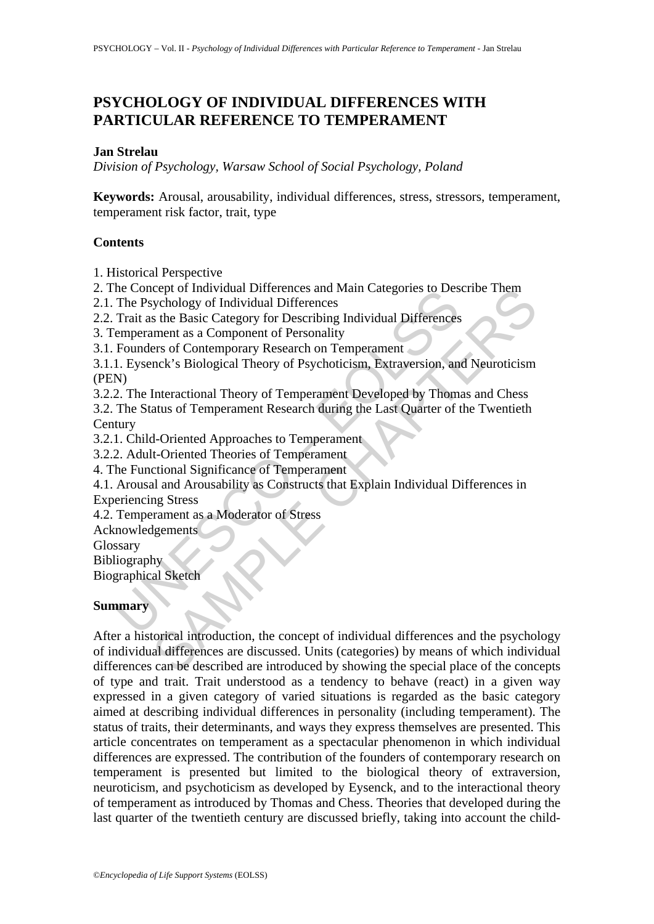# **PSYCHOLOGY OF INDIVIDUAL DIFFERENCES WITH PARTICULAR REFERENCE TO TEMPERAMENT**

#### **Jan Strelau**

*Division of Psychology, Warsaw School of Social Psychology, Poland* 

**Keywords:** Arousal, arousability, individual differences, stress, stressors, temperament, temperament risk factor, trait, type

#### **Contents**

1. Historical Perspective

2. The Concept of Individual Differences and Main Categories to Describe Them

2.1. The Psychology of Individual Differences

2.2. Trait as the Basic Category for Describing Individual Differences

3. Temperament as a Component of Personality

3.1. Founders of Contemporary Research on Temperament

3.1.1. Eysenck's Biological Theory of Psychoticism, Extraversion, and Neuroticism (PEN)

3.2.2. The Interactional Theory of Temperament Developed by Thomas and Chess

Incometry of Individual Differences and Marineter and Marineter<br>The Psychology of Individual Differences<br>Trait as the Basic Category for Describing Individual Differences<br>emperament as a Component of Personality<br>Founders o 3.2. The Status of Temperament Research during the Last Quarter of the Twentieth **Century** 

3.2.1. Child-Oriented Approaches to Temperament

3.2.2. Adult-Oriented Theories of Temperament

4. The Functional Significance of Temperament

4.1. Arousal and Arousability as Constructs that Explain Individual Differences in Experiencing Stress

4.2. Temperament as a Moderator of Stress

Acknowledgements

Glossary

Bibliography

Biographical Sketch

#### **Summary**

Solven individual Differences and Maniperal Constant Chapter of mondan Differences<br>
Show of Individual Differences<br>
Show Basic Category for Describing Individual Differences<br>
Show Basic Category for Describing Individual D After a historical introduction, the concept of individual differences and the psychology of individual differences are discussed. Units (categories) by means of which individual differences can be described are introduced by showing the special place of the concepts of type and trait. Trait understood as a tendency to behave (react) in a given way expressed in a given category of varied situations is regarded as the basic category aimed at describing individual differences in personality (including temperament). The status of traits, their determinants, and ways they express themselves are presented. This article concentrates on temperament as a spectacular phenomenon in which individual differences are expressed. The contribution of the founders of contemporary research on temperament is presented but limited to the biological theory of extraversion, neuroticism, and psychoticism as developed by Eysenck, and to the interactional theory of temperament as introduced by Thomas and Chess. Theories that developed during the last quarter of the twentieth century are discussed briefly, taking into account the child-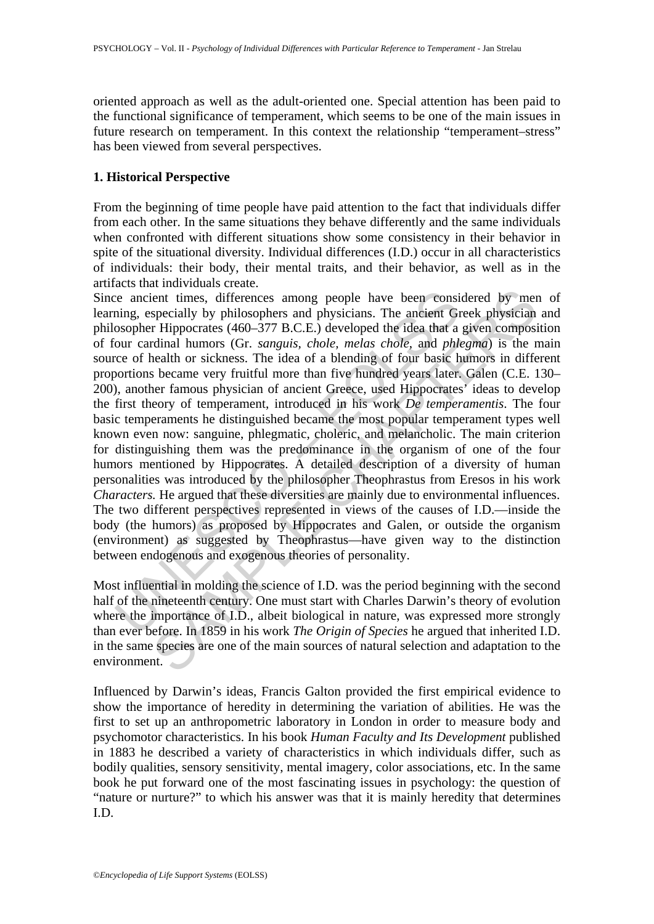oriented approach as well as the adult-oriented one. Special attention has been paid to the functional significance of temperament, which seems to be one of the main issues in future research on temperament. In this context the relationship "temperament–stress" has been viewed from several perspectives.

## **1. Historical Perspective**

From the beginning of time people have paid attention to the fact that individuals differ from each other. In the same situations they behave differently and the same individuals when confronted with different situations show some consistency in their behavior in spite of the situational diversity. Individual differences (I.D.) occur in all characteristics of individuals: their body, their mental traits, and their behavior, as well as in the artifacts that individuals create.

ie ancient times, differences among people have been consi<br>ning, especially by philosophers and physicians. The ancient Gi<br>osopher Hippocrates (460–377 B.C.E.) developed the idea that a<br>cour cardinal humors (Gr. *sanguis,* ent times, differences among people have been considered by mergecially by philosophers and physicians. The ancient Greek physician Highpocrates (460–377 B.C.E.) developed the idea that a given composited in Highpocrates Since ancient times, differences among people have been considered by men of learning, especially by philosophers and physicians. The ancient Greek physician and philosopher Hippocrates (460–377 B.C.E.) developed the idea that a given composition of four cardinal humors (Gr. *sanguis, chole, melas chole*, and *phlegma*) is the main source of health or sickness. The idea of a blending of four basic humors in different proportions became very fruitful more than five hundred years later. Galen (C.E. 130– 200), another famous physician of ancient Greece, used Hippocrates' ideas to develop the first theory of temperament, introduced in his work *De temperamentis*. The four basic temperaments he distinguished became the most popular temperament types well known even now: sanguine, phlegmatic, choleric, and melancholic. The main criterion for distinguishing them was the predominance in the organism of one of the four humors mentioned by Hippocrates. A detailed description of a diversity of human personalities was introduced by the philosopher Theophrastus from Eresos in his work *Characters.* He argued that these diversities are mainly due to environmental influences. The two different perspectives represented in views of the causes of I.D.—inside the body (the humors) as proposed by Hippocrates and Galen, or outside the organism (environment) as suggested by Theophrastus—have given way to the distinction between endogenous and exogenous theories of personality.

Most influential in molding the science of I.D. was the period beginning with the second half of the nineteenth century. One must start with Charles Darwin's theory of evolution where the importance of I.D., albeit biological in nature, was expressed more strongly than ever before. In 1859 in his work *The Origin of Species* he argued that inherited I.D. in the same species are one of the main sources of natural selection and adaptation to the environment.

Influenced by Darwin's ideas, Francis Galton provided the first empirical evidence to show the importance of heredity in determining the variation of abilities. He was the first to set up an anthropometric laboratory in London in order to measure body and psychomotor characteristics. In his book *Human Faculty and Its Development* published in 1883 he described a variety of characteristics in which individuals differ, such as bodily qualities, sensory sensitivity, mental imagery, color associations, etc. In the same book he put forward one of the most fascinating issues in psychology: the question of "nature or nurture?" to which his answer was that it is mainly heredity that determines I.D.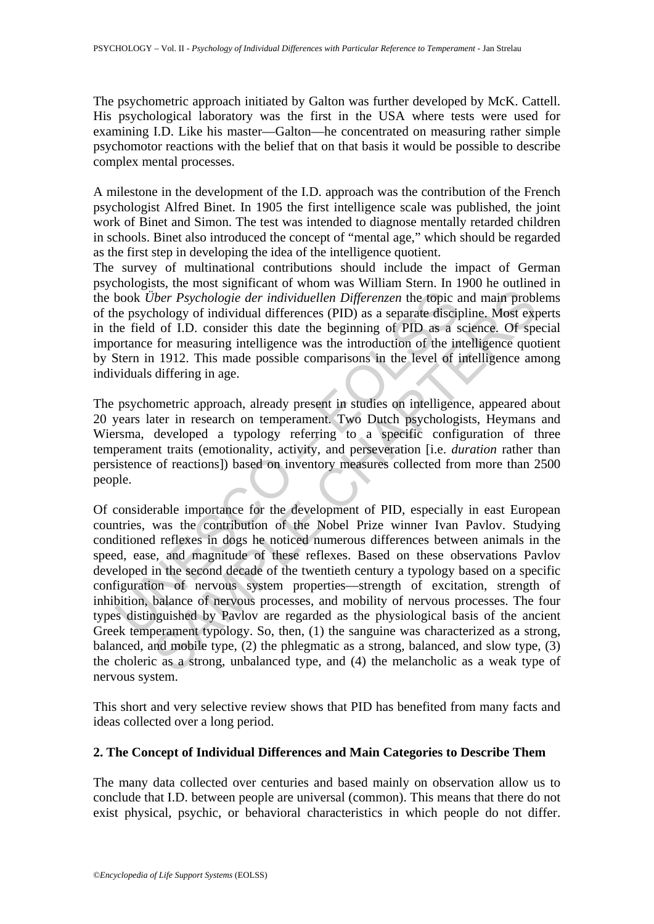The psychometric approach initiated by Galton was further developed by McK. Cattell. His psychological laboratory was the first in the USA where tests were used for examining I.D. Like his master—Galton—he concentrated on measuring rather simple psychomotor reactions with the belief that on that basis it would be possible to describe complex mental processes.

A milestone in the development of the I.D. approach was the contribution of the French psychologist Alfred Binet. In 1905 the first intelligence scale was published, the joint work of Binet and Simon. The test was intended to diagnose mentally retarded children in schools. Binet also introduced the concept of "mental age," which should be regarded as the first step in developing the idea of the intelligence quotient.

The survey of multinational contributions should include the impact of German psychologists, the most significant of whom was William Stern. In 1900 he outlined in the book *Über Psychologie der individuellen Differenzen* the topic and main problems of the psychology of individual differences (PID) as a separate discipline. Most experts in the field of I.D. consider this date the beginning of PID as a science. Of special importance for measuring intelligence was the introduction of the intelligence quotient by Stern in 1912. This made possible comparisons in the level of intelligence among individuals differing in age.

The psychometric approach, already present in studies on intelligence, appeared about 20 years later in research on temperament. Two Dutch psychologists, Heymans and Wiersma, developed a typology referring to a specific configuration of three temperament traits (emotionality, activity, and perseveration [i.e. *duration* rather than persistence of reactions]) based on inventory measures collected from more than 2500 people.

book *Über Psychologie der individuellen Differenzen* the topic are psychology of individual differences (PID) as a separate disciple field of LD. consider this date the beginning of PID as a sortance for measuring intelli *iber Psychologie der individuellen Differenzen* the topic and main probl<br>*iber Psychologie der individuellen Differenzen* the topic and main probl<br>hology of individual differences (PID) as a separate discipline. Most exp<br> Of considerable importance for the development of PID, especially in east European countries, was the contribution of the Nobel Prize winner Ivan Pavlov. Studying conditioned reflexes in dogs he noticed numerous differences between animals in the speed, ease, and magnitude of these reflexes. Based on these observations Pavlov developed in the second decade of the twentieth century a typology based on a specific configuration of nervous system properties—strength of excitation, strength of inhibition, balance of nervous processes, and mobility of nervous processes. The four types distinguished by Pavlov are regarded as the physiological basis of the ancient Greek temperament typology. So, then, (1) the sanguine was characterized as a strong, balanced, and mobile type, (2) the phlegmatic as a strong, balanced, and slow type, (3) the choleric as a strong, unbalanced type, and (4) the melancholic as a weak type of nervous system.

This short and very selective review shows that PID has benefited from many facts and ideas collected over a long period.

#### **2. The Concept of Individual Differences and Main Categories to Describe Them**

The many data collected over centuries and based mainly on observation allow us to conclude that I.D. between people are universal (common). This means that there do not exist physical, psychic, or behavioral characteristics in which people do not differ.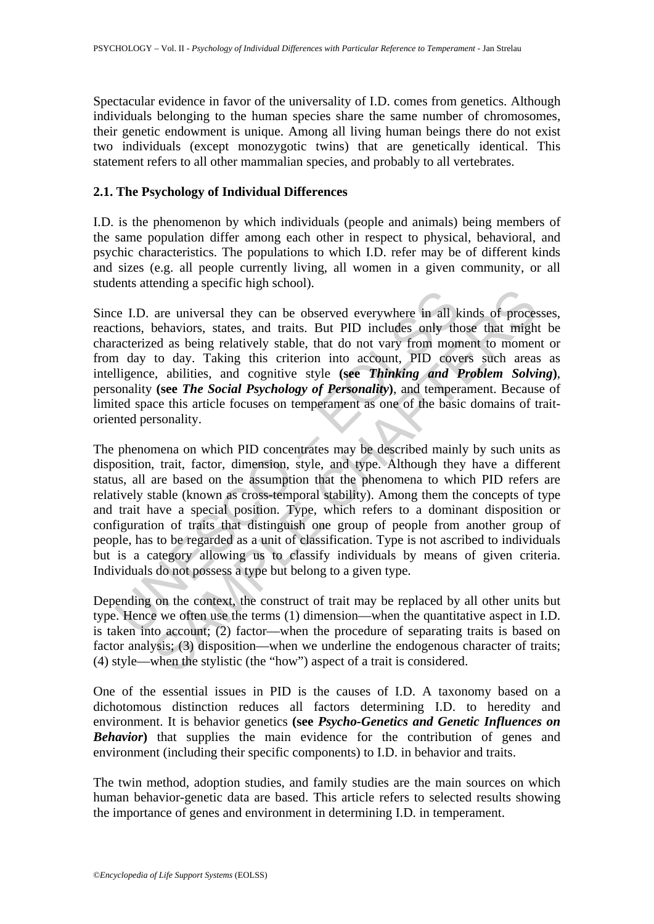Spectacular evidence in favor of the universality of I.D. comes from genetics. Although individuals belonging to the human species share the same number of chromosomes, their genetic endowment is unique. Among all living human beings there do not exist two individuals (except monozygotic twins) that are genetically identical. This statement refers to all other mammalian species, and probably to all vertebrates.

#### **2.1. The Psychology of Individual Differences**

I.D. is the phenomenon by which individuals (people and animals) being members of the same population differ among each other in respect to physical, behavioral, and psychic characteristics. The populations to which I.D. refer may be of different kinds and sizes (e.g. all people currently living, all women in a given community, or all students attending a specific high school).

Since I.D. are universal they can be observed everywhere in all kinds of processes, reactions, behaviors, states, and traits. But PID includes only those that might be characterized as being relatively stable, that do not vary from moment to moment or from day to day. Taking this criterion into account, PID covers such areas as intelligence, abilities, and cognitive style **(see** *Thinking and Problem Solving***)**, personality **(see** *The Social Psychology of Personality***)**, and temperament. Because of limited space this article focuses on temperament as one of the basic domains of traitoriented personality.

EVALUATION CONTINUES TO the quality can be observed everywhere in all ket to not vary from mort accertized as being relatively stable, that do not vary from mort and and to a compute the set of the do not vary from mort al are universal they can be observed everywhere in all kinds of proces<br>behaviors, states, and traits. But PID includes only those that migh<br>behaviors, states, and traits. But PID includes only those that migh<br>ed as being re The phenomena on which PID concentrates may be described mainly by such units as disposition, trait, factor, dimension, style, and type. Although they have a different status, all are based on the assumption that the phenomena to which PID refers are relatively stable (known as cross-temporal stability). Among them the concepts of type and trait have a special position. Type, which refers to a dominant disposition or configuration of traits that distinguish one group of people from another group of people, has to be regarded as a unit of classification. Type is not ascribed to individuals but is a category allowing us to classify individuals by means of given criteria. Individuals do not possess a type but belong to a given type.

Depending on the context, the construct of trait may be replaced by all other units but type. Hence we often use the terms (1) dimension—when the quantitative aspect in I.D. is taken into account; (2) factor—when the procedure of separating traits is based on factor analysis; (3) disposition—when we underline the endogenous character of traits; (4) style—when the stylistic (the "how") aspect of a trait is considered.

One of the essential issues in PID is the causes of I.D. A taxonomy based on a dichotomous distinction reduces all factors determining I.D. to heredity and environment. It is behavior genetics **(see** *Psycho-Genetics and Genetic Influences on Behavior*) that supplies the main evidence for the contribution of genes and environment (including their specific components) to I.D. in behavior and traits.

The twin method, adoption studies, and family studies are the main sources on which human behavior-genetic data are based. This article refers to selected results showing the importance of genes and environment in determining I.D. in temperament.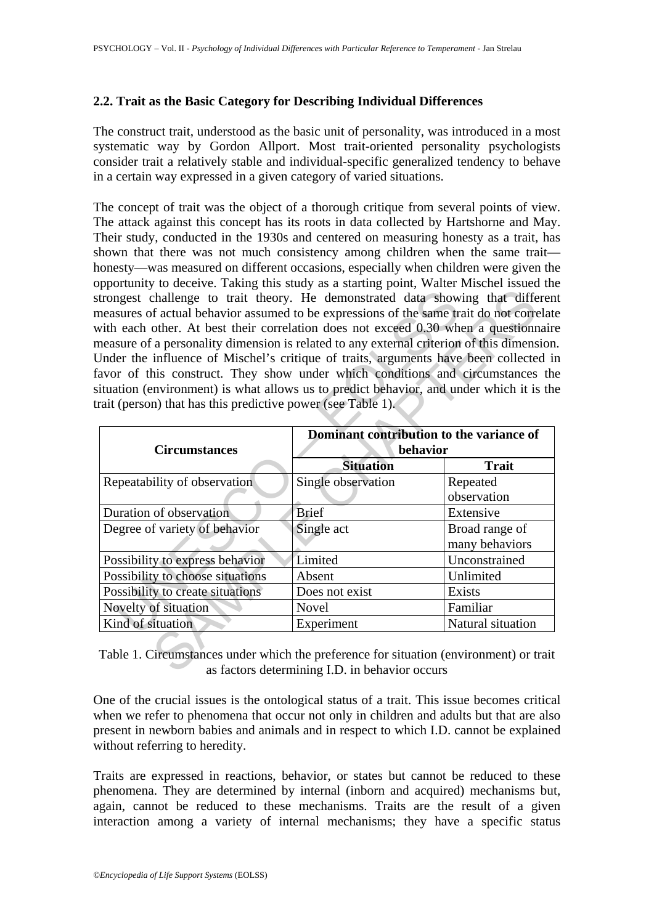## **2.2. Trait as the Basic Category for Describing Individual Differences**

The construct trait, understood as the basic unit of personality, was introduced in a most systematic way by Gordon Allport. Most trait-oriented personality psychologists consider trait a relatively stable and individual-specific generalized tendency to behave in a certain way expressed in a given category of varied situations.

The concept of trait was the object of a thorough critique from several points of view. The attack against this concept has its roots in data collected by Hartshorne and May. Their study, conducted in the 1930s and centered on measuring honesty as a trait, has shown that there was not much consistency among children when the same trait honesty—was measured on different occasions, especially when children were given the opportunity to deceive. Taking this study as a starting point, Walter Mischel issued the strongest challenge to trait theory. He demonstrated data showing that different measures of actual behavior assumed to be expressions of the same trait do not correlate with each other. At best their correlation does not exceed 0.30 when a questionnaire measure of a personality dimension is related to any external criterion of this dimension. Under the influence of Mischel's critique of traits, arguments have been collected in favor of this construct. They show under which conditions and circumstances the situation (environment) is what allows us to predict behavior, and under which it is the trait (person) that has this predictive power (see Table 1).

| measures of actual behavior assumed to be expressions of the same trait do not correlate<br>with each other. At best their correlation does not exceed 0.30 when a questionnaire<br>measure of a personality dimension is related to any external criterion of this dimension<br>Under the influence of Mischel's critique of traits, arguments have been collected in<br>favor of this construct. They show under which conditions and circumstances the |                                                      |                                  |
|-----------------------------------------------------------------------------------------------------------------------------------------------------------------------------------------------------------------------------------------------------------------------------------------------------------------------------------------------------------------------------------------------------------------------------------------------------------|------------------------------------------------------|----------------------------------|
| situation (environment) is what allows us to predict behavior, and under which it is the<br>rait (person) that has this predictive power (see Table 1).                                                                                                                                                                                                                                                                                                   |                                                      |                                  |
| <b>Circumstances</b>                                                                                                                                                                                                                                                                                                                                                                                                                                      | Dominant contribution to the variance of<br>behavior |                                  |
|                                                                                                                                                                                                                                                                                                                                                                                                                                                           | <b>Situation</b>                                     | <b>Trait</b>                     |
| Repeatability of observation                                                                                                                                                                                                                                                                                                                                                                                                                              | Single observation                                   | Repeated<br>observation          |
| Duration of observation                                                                                                                                                                                                                                                                                                                                                                                                                                   | <b>Brief</b>                                         | Extensive                        |
| Degree of variety of behavior                                                                                                                                                                                                                                                                                                                                                                                                                             | Single act                                           | Broad range of<br>many behaviors |
|                                                                                                                                                                                                                                                                                                                                                                                                                                                           |                                                      |                                  |
| Possibility to express behavior                                                                                                                                                                                                                                                                                                                                                                                                                           | Limited                                              | Unconstrained                    |
| Possibility to choose situations                                                                                                                                                                                                                                                                                                                                                                                                                          | Absent                                               | Unlimited                        |
| Possibility to create situations                                                                                                                                                                                                                                                                                                                                                                                                                          | Does not exist                                       | <b>Exists</b>                    |
| Novelty of situation                                                                                                                                                                                                                                                                                                                                                                                                                                      | Novel                                                | Familiar                         |

Table 1. Circumstances under which the preference for situation (environment) or trait as factors determining I.D. in behavior occurs

One of the crucial issues is the ontological status of a trait. This issue becomes critical when we refer to phenomena that occur not only in children and adults but that are also present in newborn babies and animals and in respect to which I.D. cannot be explained without referring to heredity.

Traits are expressed in reactions, behavior, or states but cannot be reduced to these phenomena. They are determined by internal (inborn and acquired) mechanisms but, again, cannot be reduced to these mechanisms. Traits are the result of a given interaction among a variety of internal mechanisms; they have a specific status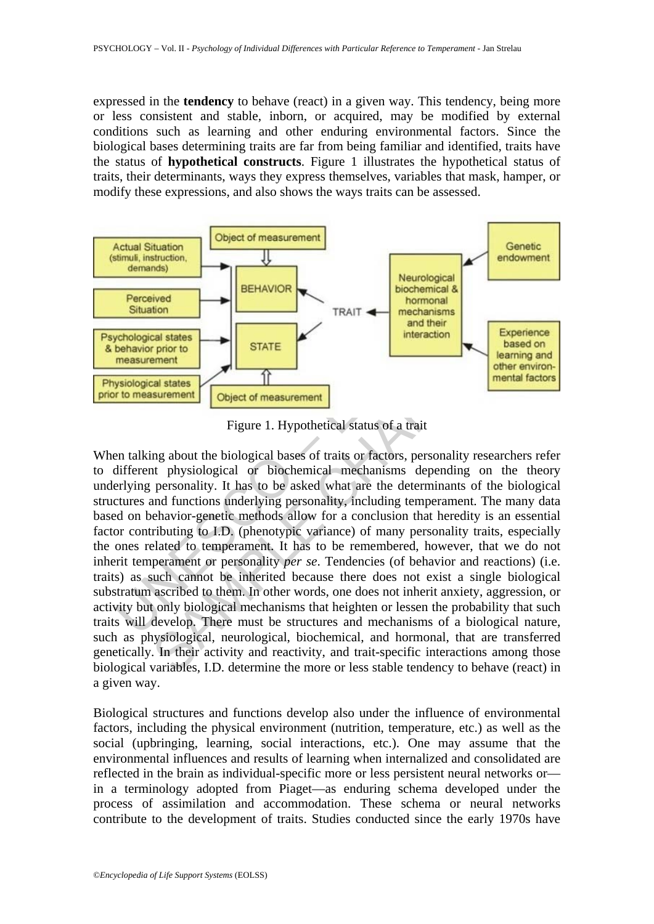expressed in the **tendency** to behave (react) in a given way. This tendency, being more or less consistent and stable, inborn, or acquired, may be modified by external conditions such as learning and other enduring environmental factors. Since the biological bases determining traits are far from being familiar and identified, traits have the status of **hypothetical constructs**. Figure 1 illustrates the hypothetical status of traits, their determinants, ways they express themselves, variables that mask, hamper, or modify these expressions, and also shows the ways traits can be assessed.



Figure 1. Hypothetical status of a trait

Fractive Situation<br>
Situation<br>
TRAIT<br>
TRAIT<br>
TRAIT<br>
TRAIT<br>
TRAIT<br>
TRAIT<br>
TRAIT<br>
TRAIT<br>
TRAIT<br>
Cohological states<br>
Informal mechanisms<br>
and their<br>
Dehavior prior to<br>
STATE<br>
Figure 1. Hypothetical status of a trait<br>
Figure 1 **EXERCUTE:**<br>
TRAIT<br> **EXERCUTEREM AND INCRED CONFIDENCIAL CONFIDENCIAL CONFIDENCIAL CONFIDENCIAL CONFIDENCIAL CONFIDENCIAL CONFIDENCIAL CONFIDENCIAL CONFIDENCIAL CONFIDENCIAL CONFIDENCIAL CONFIDENCIAL DESCRIPTION (THE PRESO** When talking about the biological bases of traits or factors, personality researchers refer to different physiological or biochemical mechanisms depending on the theory underlying personality. It has to be asked what are the determinants of the biological structures and functions underlying personality, including temperament. The many data based on behavior-genetic methods allow for a conclusion that heredity is an essential factor contributing to I.D. (phenotypic variance) of many personality traits, especially the ones related to temperament. It has to be remembered, however, that we do not inherit temperament or personality *per se*. Tendencies (of behavior and reactions) (i.e. traits) as such cannot be inherited because there does not exist a single biological substratum ascribed to them. In other words, one does not inherit anxiety, aggression, or activity but only biological mechanisms that heighten or lessen the probability that such traits will develop. There must be structures and mechanisms of a biological nature, such as physiological, neurological, biochemical, and hormonal, that are transferred genetically. In their activity and reactivity, and trait-specific interactions among those biological variables, I.D. determine the more or less stable tendency to behave (react) in a given way.

Biological structures and functions develop also under the influence of environmental factors, including the physical environment (nutrition, temperature, etc.) as well as the social (upbringing, learning, social interactions, etc.). One may assume that the environmental influences and results of learning when internalized and consolidated are reflected in the brain as individual-specific more or less persistent neural networks or in a terminology adopted from Piaget—as enduring schema developed under the process of assimilation and accommodation. These schema or neural networks contribute to the development of traits. Studies conducted since the early 1970s have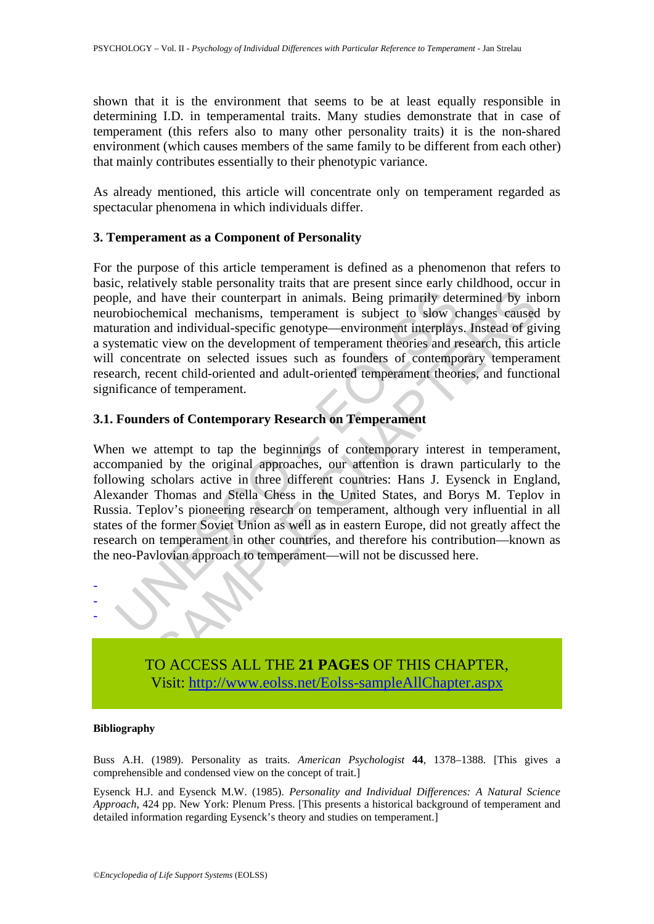shown that it is the environment that seems to be at least equally responsible in determining I.D. in temperamental traits. Many studies demonstrate that in case of temperament (this refers also to many other personality traits) it is the non-shared environment (which causes members of the same family to be different from each other) that mainly contributes essentially to their phenotypic variance.

As already mentioned, this article will concentrate only on temperament regarded as spectacular phenomena in which individuals differ.

#### **3. Temperament as a Component of Personality**

For the purpose of this article temperament is defined as a phenomenon that refers to basic, relatively stable personality traits that are present since early childhood, occur in people, and have their counterpart in animals. Being primarily determined by inborn neurobiochemical mechanisms, temperament is subject to slow changes caused by maturation and individual-specific genotype—environment interplays. Instead of giving a systematic view on the development of temperament theories and research, this article will concentrate on selected issues such as founders of contemporary temperament research, recent child-oriented and adult-oriented temperament theories, and functional significance of temperament.

## **3.1. Founders of Contemporary Research on Temperament**

ple, and have their counterpart in animals. Being primarily detrobiochemical mechanisms, temperament is subject to slow c duration and individual-specific genotype—environment interplays stematic view on the development of In that their counterpart in animals. Being primarily determined by inferred mechanisms, temperament is subject to slow changes caused and individual-specific genotype—environment interplays. Instead of given consider ic v When we attempt to tap the beginnings of contemporary interest in temperament, accompanied by the original approaches, our attention is drawn particularly to the following scholars active in three different countries: Hans J. Eysenck in England, Alexander Thomas and Stella Chess in the United States, and Borys M. Teplov in Russia. Teplov's pioneering research on temperament, although very influential in all states of the former Soviet Union as well as in eastern Europe, did not greatly affect the research on temperament in other countries, and therefore his contribution—known as the neo-Pavlovian approach to temperament—will not be discussed here.



TO ACCESS ALL THE **21 PAGES** OF THIS CHAPTER, Visi[t: http://www.eolss.net/Eolss-sampleAllChapter.aspx](https://www.eolss.net/ebooklib/sc_cart.aspx?File=E6-27-04-05)

#### **Bibliography**

Buss A.H. (1989). Personality as traits. *American Psychologist* **44**, 1378–1388. [This gives a comprehensible and condensed view on the concept of trait.]

Eysenck H.J. and Eysenck M.W. (1985). *Personality and Individual Differences: A Natural Science Approach*, 424 pp. New York: Plenum Press. [This presents a historical background of temperament and detailed information regarding Eysenck's theory and studies on temperament.]